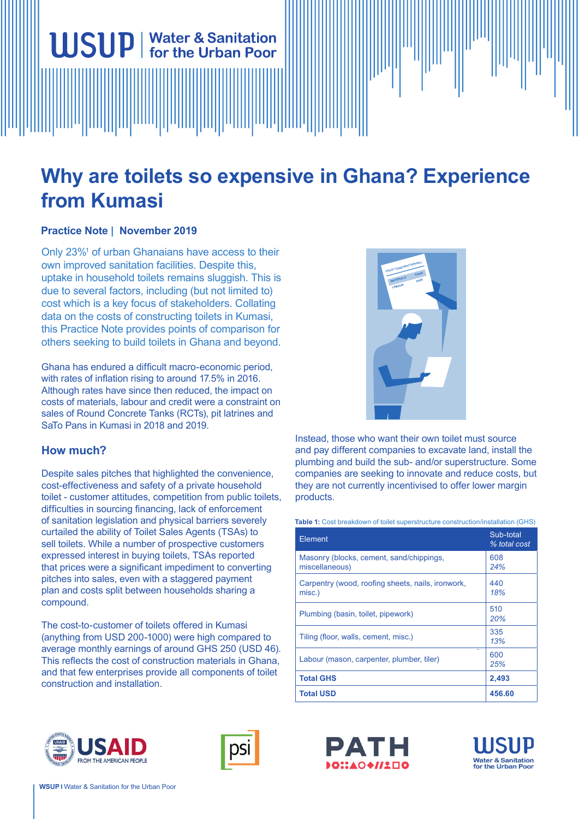# **Why are toilets so expensive in Ghana? Experience from Kumasi**

# **Practice Note | November 2019**

Only 23%<sup>1</sup> of urban Ghanaians have access to their own improved sanitation facilities. Despite this, uptake in household toilets remains sluggish. This is due to several factors, including (but not limited to) cost which is a key focus of stakeholders. Collating data on the costs of constructing toilets in Kumasi, this Practice Note provides points of comparison for others seeking to build toilets in Ghana and beyond.

**USUP** | Water & Sanitation

Ghana has endured a difficult macro-economic period, with rates of inflation rising to around 17.5% in 2016. Although rates have since then reduced, the impact on costs of materials, labour and credit were a constraint on sales of Round Concrete Tanks (RCTs), pit latrines and SaTo Pans in Kumasi in 2018 and 2019.

# **How much?**

Despite sales pitches that highlighted the convenience, cost-effectiveness and safety of a private household toilet - customer attitudes, competition from public toilets, difficulties in sourcing financing, lack of enforcement of sanitation legislation and physical barriers severely curtailed the ability of Toilet Sales Agents (TSAs) to sell toilets. While a number of prospective customers expressed interest in buying toilets, TSAs reported that prices were a significant impediment to converting pitches into sales, even with a staggered payment plan and costs split between households sharing a compound.

The cost-to-customer of toilets offered in Kumasi (anything from USD 200-1000) were high compared to average monthly earnings of around GHS 250 (USD 46). This reflects the cost of construction materials in Ghana, and that few enterprises provide all components of toilet construction and installation.



Instead, those who want their own toilet must source and pay different companies to excavate land, install the plumbing and build the sub- and/or superstructure. Some companies are seeking to innovate and reduce costs, but they are not currently incentivised to offer lower margin products.

**Table 1:** Cost breakdown of toilet superstructure construction/installation (GHS)

| Element                                                     | Sub-total<br>% total cost |
|-------------------------------------------------------------|---------------------------|
| Masonry (blocks, cement, sand/chippings,<br>miscellaneous)  | 608<br>24%                |
| Carpentry (wood, roofing sheets, nails, ironwork,<br>misc.) | 440<br>18%                |
| Plumbing (basin, toilet, pipework)                          | 510<br>20%                |
| Tiling (floor, walls, cement, misc.)                        | 335<br>13%                |
| Labour (mason, carpenter, plumber, tiler)                   | 600<br>25%                |
| <b>Total GHS</b>                                            | 2,493                     |
| <b>Total USD</b>                                            | 456.60                    |